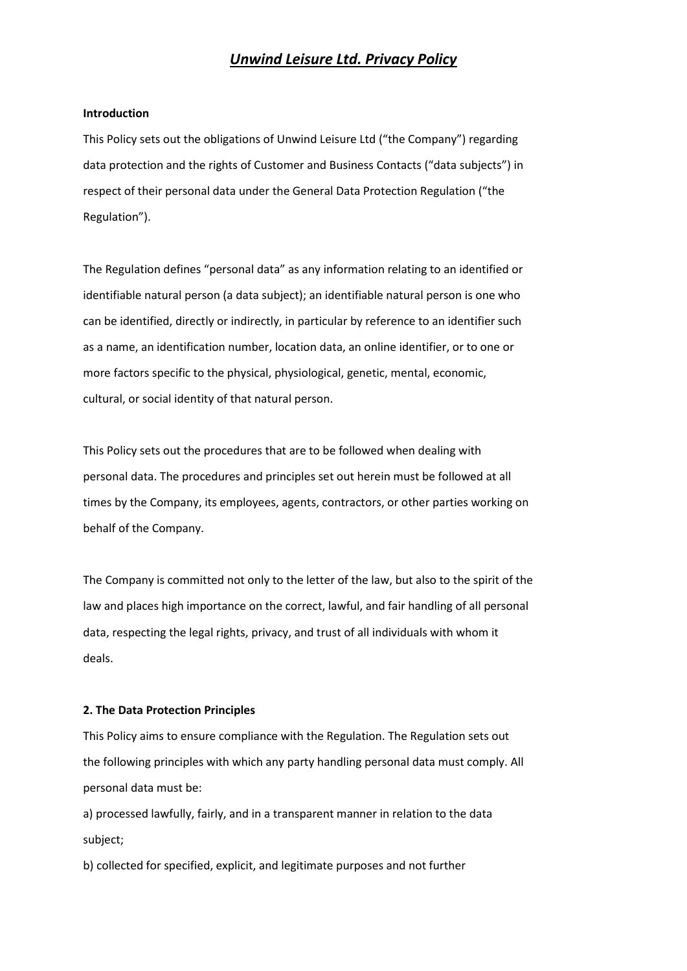# *Unwind Leisure Ltd. Privacy Policy*

#### **Introduction**

This Policy sets out the obligations of Unwind Leisure Ltd ("the Company") regarding data protection and the rights of Customer and Business Contacts ("data subjects") in respect of their personal data under the General Data Protection Regulation ("the Regulation").

The Regulation defines "personal data" as any information relating to an identified or identifiable natural person (a data subject); an identifiable natural person is one who can be identified, directly or indirectly, in particular by reference to an identifier such as a name, an identification number, location data, an online identifier, or to one or more factors specific to the physical, physiological, genetic, mental, economic, cultural, or social identity of that natural person.

This Policy sets out the procedures that are to be followed when dealing with personal data. The procedures and principles set out herein must be followed at all times by the Company, its employees, agents, contractors, or other parties working on behalf of the Company.

The Company is committed not only to the letter of the law, but also to the spirit of the law and places high importance on the correct, lawful, and fair handling of all personal data, respecting the legal rights, privacy, and trust of all individuals with whom it deals.

## **2. The Data Protection Principles**

This Policy aims to ensure compliance with the Regulation. The Regulation sets out the following principles with which any party handling personal data must comply. All personal data must be:

a) processed lawfully, fairly, and in a transparent manner in relation to the data subject;

b) collected for specified, explicit, and legitimate purposes and not further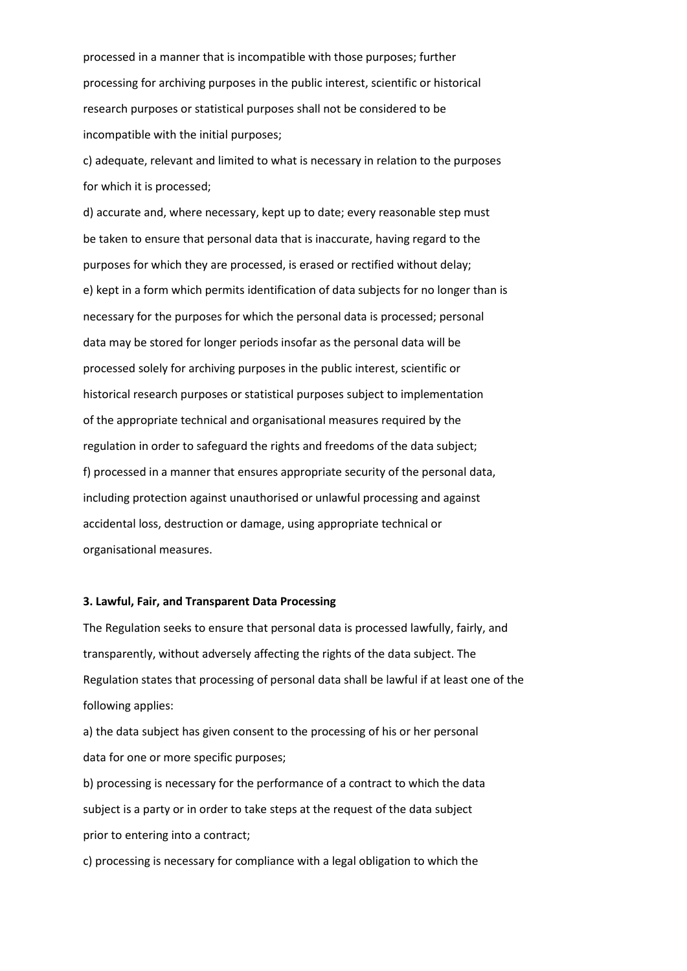processed in a manner that is incompatible with those purposes; further processing for archiving purposes in the public interest, scientific or historical research purposes or statistical purposes shall not be considered to be incompatible with the initial purposes;

c) adequate, relevant and limited to what is necessary in relation to the purposes for which it is processed;

d) accurate and, where necessary, kept up to date; every reasonable step must be taken to ensure that personal data that is inaccurate, having regard to the purposes for which they are processed, is erased or rectified without delay; e) kept in a form which permits identification of data subjects for no longer than is necessary for the purposes for which the personal data is processed; personal data may be stored for longer periods insofar as the personal data will be processed solely for archiving purposes in the public interest, scientific or historical research purposes or statistical purposes subject to implementation of the appropriate technical and organisational measures required by the regulation in order to safeguard the rights and freedoms of the data subject; f) processed in a manner that ensures appropriate security of the personal data, including protection against unauthorised or unlawful processing and against accidental loss, destruction or damage, using appropriate technical or organisational measures.

## **3. Lawful, Fair, and Transparent Data Processing**

The Regulation seeks to ensure that personal data is processed lawfully, fairly, and transparently, without adversely affecting the rights of the data subject. The Regulation states that processing of personal data shall be lawful if at least one of the following applies:

a) the data subject has given consent to the processing of his or her personal data for one or more specific purposes;

b) processing is necessary for the performance of a contract to which the data subject is a party or in order to take steps at the request of the data subject prior to entering into a contract;

c) processing is necessary for compliance with a legal obligation to which the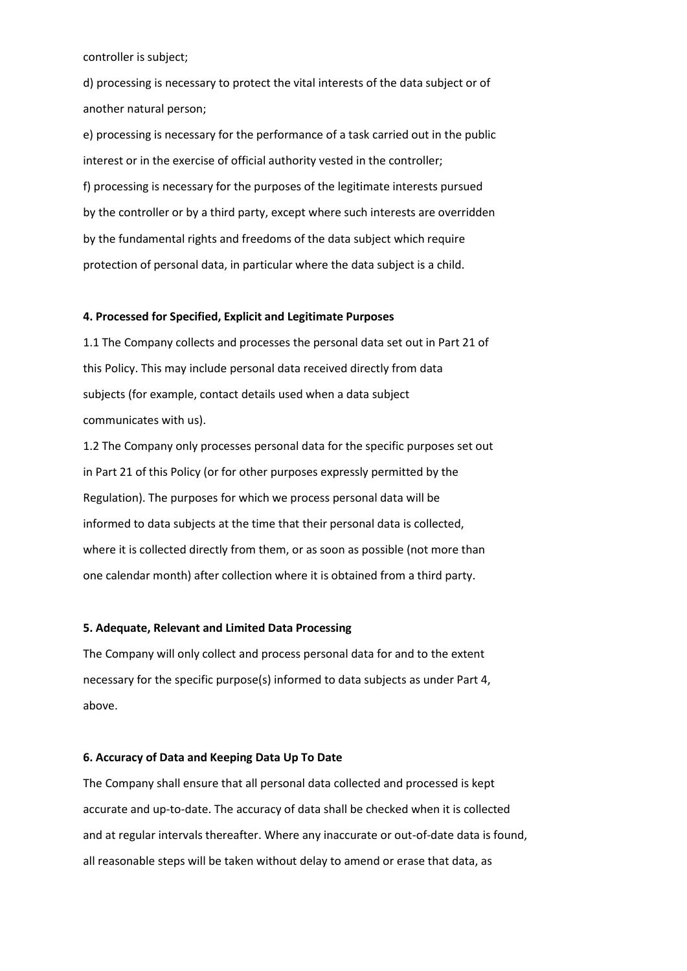controller is subject;

d) processing is necessary to protect the vital interests of the data subject or of another natural person;

e) processing is necessary for the performance of a task carried out in the public interest or in the exercise of official authority vested in the controller; f) processing is necessary for the purposes of the legitimate interests pursued by the controller or by a third party, except where such interests are overridden by the fundamental rights and freedoms of the data subject which require protection of personal data, in particular where the data subject is a child.

#### **4. Processed for Specified, Explicit and Legitimate Purposes**

1.1 The Company collects and processes the personal data set out in Part 21 of this Policy. This may include personal data received directly from data subjects (for example, contact details used when a data subject communicates with us).

1.2 The Company only processes personal data for the specific purposes set out in Part 21 of this Policy (or for other purposes expressly permitted by the Regulation). The purposes for which we process personal data will be informed to data subjects at the time that their personal data is collected, where it is collected directly from them, or as soon as possible (not more than one calendar month) after collection where it is obtained from a third party.

# **5. Adequate, Relevant and Limited Data Processing**

The Company will only collect and process personal data for and to the extent necessary for the specific purpose(s) informed to data subjects as under Part 4, above.

## **6. Accuracy of Data and Keeping Data Up To Date**

The Company shall ensure that all personal data collected and processed is kept accurate and up-to-date. The accuracy of data shall be checked when it is collected and at regular intervals thereafter. Where any inaccurate or out-of-date data is found, all reasonable steps will be taken without delay to amend or erase that data, as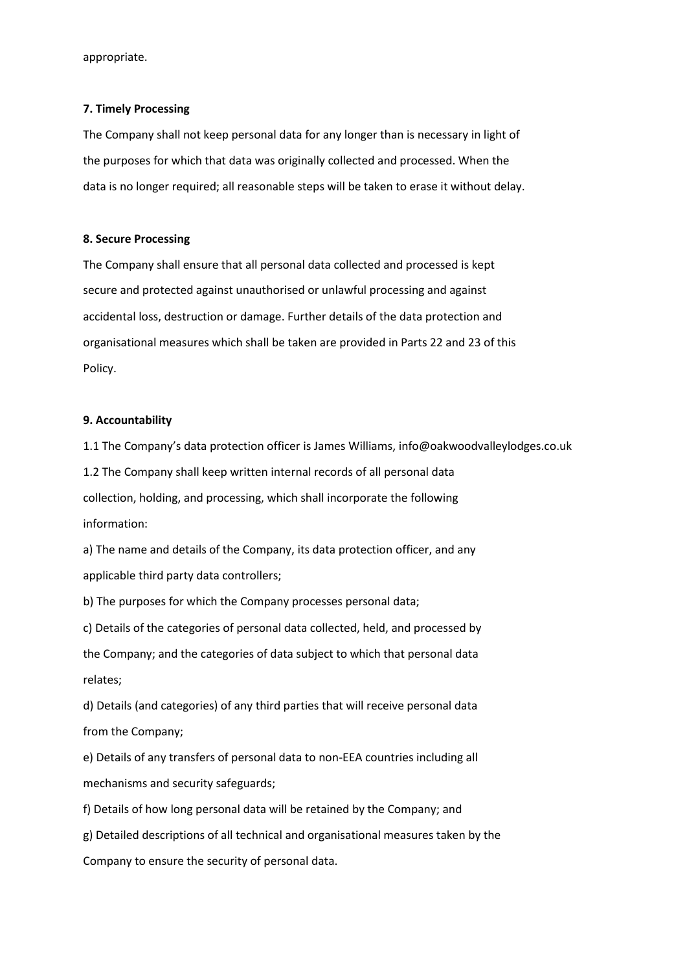appropriate.

#### **7. Timely Processing**

The Company shall not keep personal data for any longer than is necessary in light of the purposes for which that data was originally collected and processed. When the data is no longer required; all reasonable steps will be taken to erase it without delay.

#### **8. Secure Processing**

The Company shall ensure that all personal data collected and processed is kept secure and protected against unauthorised or unlawful processing and against accidental loss, destruction or damage. Further details of the data protection and organisational measures which shall be taken are provided in Parts 22 and 23 of this Policy.

#### **9. Accountability**

1.1 The Company's data protection officer is James Williams, info@oakwoodvalleylodges.co.uk 1.2 The Company shall keep written internal records of all personal data collection, holding, and processing, which shall incorporate the following information:

a) The name and details of the Company, its data protection officer, and any applicable third party data controllers;

b) The purposes for which the Company processes personal data;

c) Details of the categories of personal data collected, held, and processed by the Company; and the categories of data subject to which that personal data relates;

d) Details (and categories) of any third parties that will receive personal data from the Company;

e) Details of any transfers of personal data to non-EEA countries including all mechanisms and security safeguards;

f) Details of how long personal data will be retained by the Company; and

g) Detailed descriptions of all technical and organisational measures taken by the

Company to ensure the security of personal data.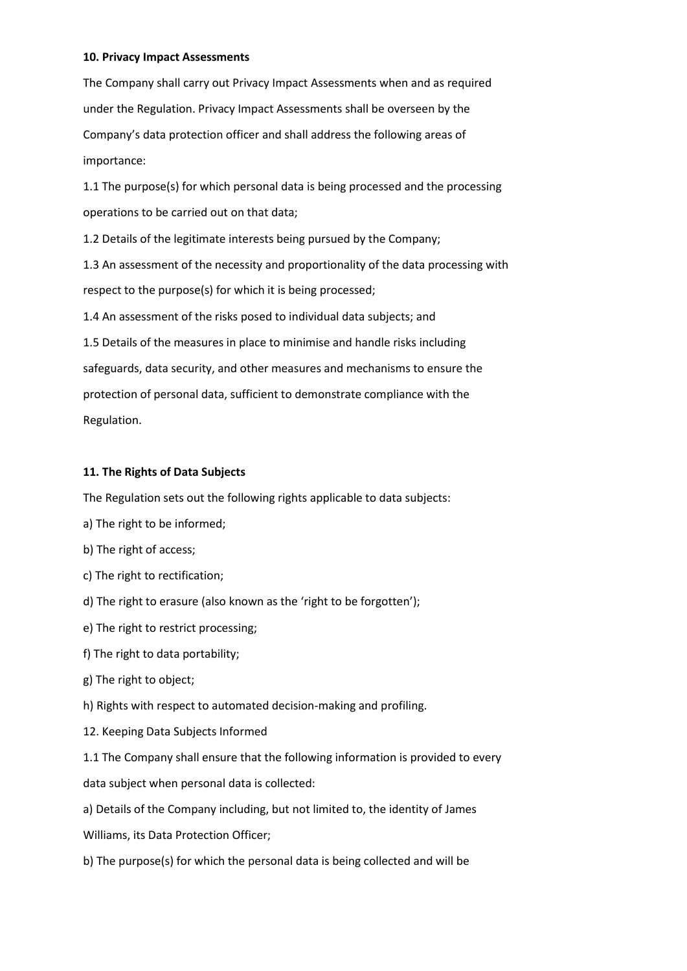# **10. Privacy Impact Assessments**

The Company shall carry out Privacy Impact Assessments when and as required under the Regulation. Privacy Impact Assessments shall be overseen by the Company's data protection officer and shall address the following areas of importance:

1.1 The purpose(s) for which personal data is being processed and the processing operations to be carried out on that data;

1.2 Details of the legitimate interests being pursued by the Company;

1.3 An assessment of the necessity and proportionality of the data processing with respect to the purpose(s) for which it is being processed;

1.4 An assessment of the risks posed to individual data subjects; and

1.5 Details of the measures in place to minimise and handle risks including safeguards, data security, and other measures and mechanisms to ensure the protection of personal data, sufficient to demonstrate compliance with the Regulation.

# **11. The Rights of Data Subjects**

The Regulation sets out the following rights applicable to data subjects:

- a) The right to be informed;
- b) The right of access;
- c) The right to rectification;
- d) The right to erasure (also known as the 'right to be forgotten');
- e) The right to restrict processing;
- f) The right to data portability;
- g) The right to object;

h) Rights with respect to automated decision-making and profiling.

12. Keeping Data Subjects Informed

1.1 The Company shall ensure that the following information is provided to every data subject when personal data is collected:

a) Details of the Company including, but not limited to, the identity of James

Williams, its Data Protection Officer;

b) The purpose(s) for which the personal data is being collected and will be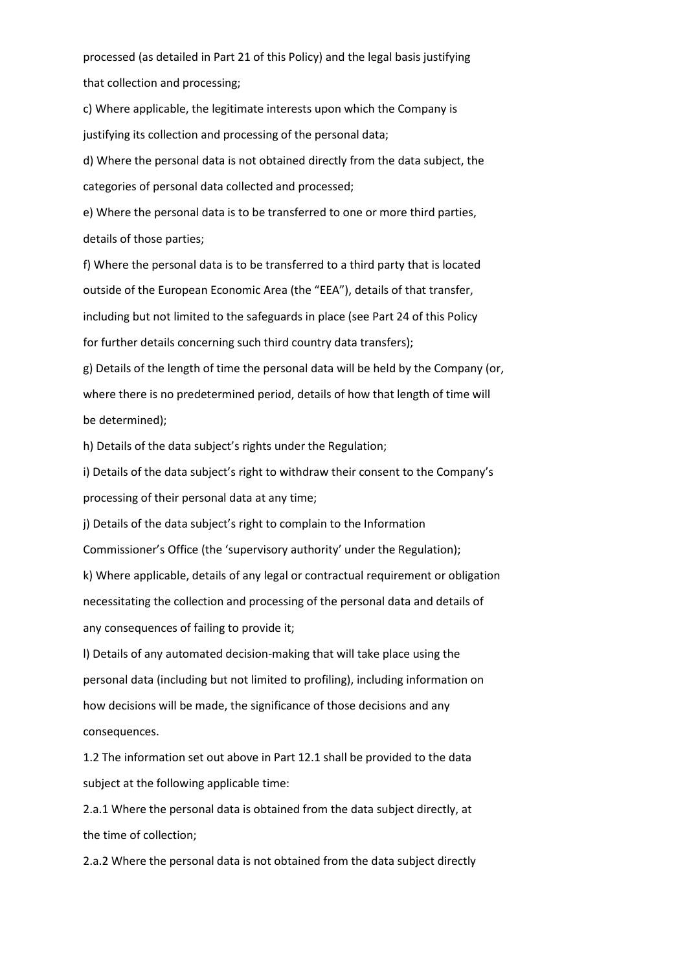processed (as detailed in Part 21 of this Policy) and the legal basis justifying that collection and processing;

c) Where applicable, the legitimate interests upon which the Company is justifying its collection and processing of the personal data;

d) Where the personal data is not obtained directly from the data subject, the categories of personal data collected and processed;

e) Where the personal data is to be transferred to one or more third parties, details of those parties;

f) Where the personal data is to be transferred to a third party that is located outside of the European Economic Area (the "EEA"), details of that transfer, including but not limited to the safeguards in place (see Part 24 of this Policy for further details concerning such third country data transfers);

g) Details of the length of time the personal data will be held by the Company (or, where there is no predetermined period, details of how that length of time will be determined);

h) Details of the data subject's rights under the Regulation;

i) Details of the data subject's right to withdraw their consent to the Company's processing of their personal data at any time;

j) Details of the data subject's right to complain to the Information Commissioner's Office (the 'supervisory authority' under the Regulation);

k) Where applicable, details of any legal or contractual requirement or obligation necessitating the collection and processing of the personal data and details of any consequences of failing to provide it;

l) Details of any automated decision-making that will take place using the personal data (including but not limited to profiling), including information on how decisions will be made, the significance of those decisions and any consequences.

1.2 The information set out above in Part 12.1 shall be provided to the data subject at the following applicable time:

2.a.1 Where the personal data is obtained from the data subject directly, at the time of collection;

2.a.2 Where the personal data is not obtained from the data subject directly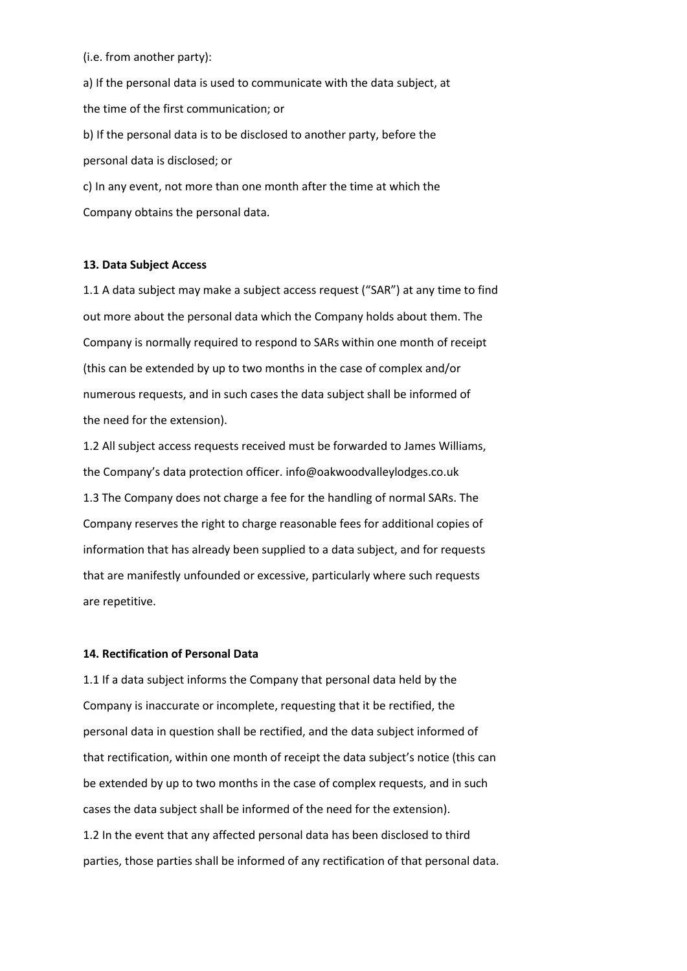(i.e. from another party):

a) If the personal data is used to communicate with the data subject, at the time of the first communication; or b) If the personal data is to be disclosed to another party, before the personal data is disclosed; or c) In any event, not more than one month after the time at which the Company obtains the personal data.

#### **13. Data Subject Access**

1.1 A data subject may make a subject access request ("SAR") at any time to find out more about the personal data which the Company holds about them. The Company is normally required to respond to SARs within one month of receipt (this can be extended by up to two months in the case of complex and/or numerous requests, and in such cases the data subject shall be informed of the need for the extension).

1.2 All subject access requests received must be forwarded to James Williams, the Company's data protection officer. info@oakwoodvalleylodges.co.uk 1.3 The Company does not charge a fee for the handling of normal SARs. The Company reserves the right to charge reasonable fees for additional copies of information that has already been supplied to a data subject, and for requests that are manifestly unfounded or excessive, particularly where such requests are repetitive.

## **14. Rectification of Personal Data**

1.1 If a data subject informs the Company that personal data held by the Company is inaccurate or incomplete, requesting that it be rectified, the personal data in question shall be rectified, and the data subject informed of that rectification, within one month of receipt the data subject's notice (this can be extended by up to two months in the case of complex requests, and in such cases the data subject shall be informed of the need for the extension). 1.2 In the event that any affected personal data has been disclosed to third parties, those parties shall be informed of any rectification of that personal data.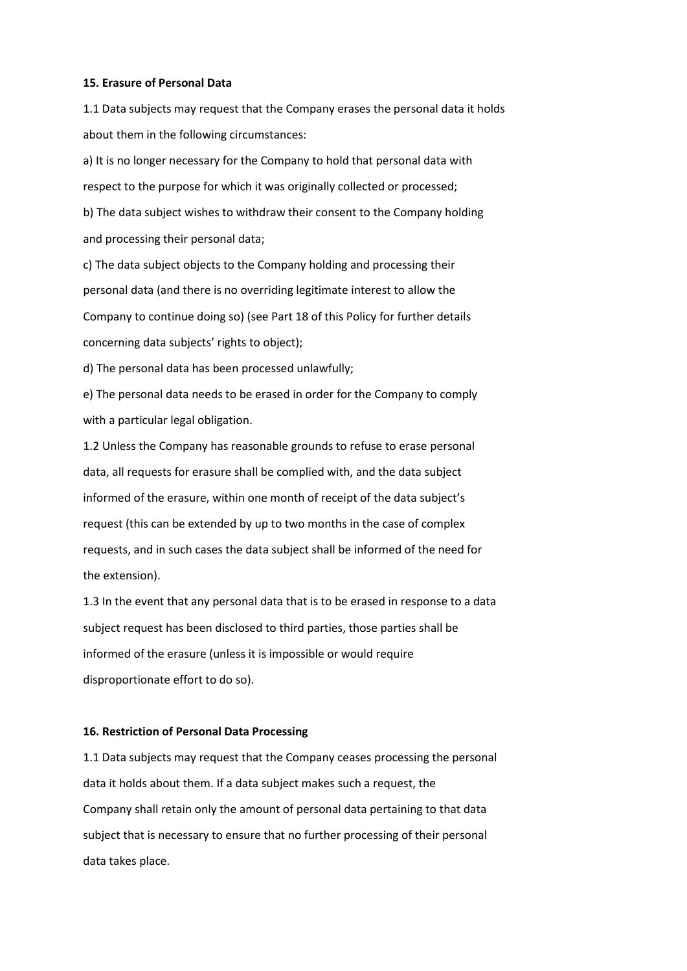#### **15. Erasure of Personal Data**

1.1 Data subjects may request that the Company erases the personal data it holds about them in the following circumstances:

a) It is no longer necessary for the Company to hold that personal data with respect to the purpose for which it was originally collected or processed;

b) The data subject wishes to withdraw their consent to the Company holding and processing their personal data;

c) The data subject objects to the Company holding and processing their personal data (and there is no overriding legitimate interest to allow the Company to continue doing so) (see Part 18 of this Policy for further details concerning data subjects' rights to object);

d) The personal data has been processed unlawfully;

e) The personal data needs to be erased in order for the Company to comply with a particular legal obligation.

1.2 Unless the Company has reasonable grounds to refuse to erase personal data, all requests for erasure shall be complied with, and the data subject informed of the erasure, within one month of receipt of the data subject's request (this can be extended by up to two months in the case of complex requests, and in such cases the data subject shall be informed of the need for the extension).

1.3 In the event that any personal data that is to be erased in response to a data subject request has been disclosed to third parties, those parties shall be informed of the erasure (unless it is impossible or would require disproportionate effort to do so).

# **16. Restriction of Personal Data Processing**

1.1 Data subjects may request that the Company ceases processing the personal data it holds about them. If a data subject makes such a request, the Company shall retain only the amount of personal data pertaining to that data subject that is necessary to ensure that no further processing of their personal data takes place.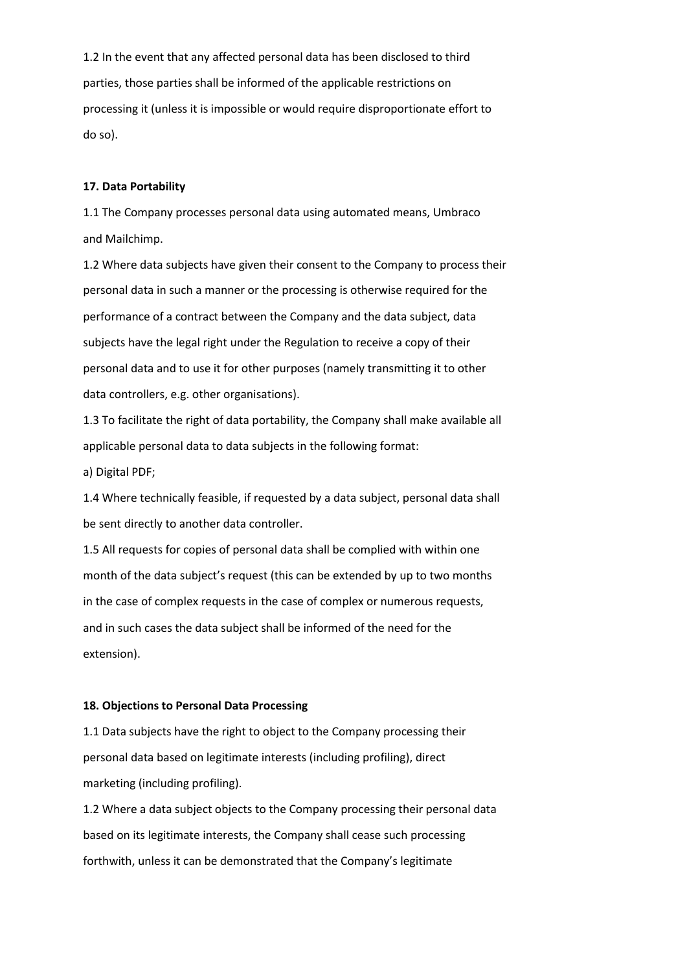1.2 In the event that any affected personal data has been disclosed to third parties, those parties shall be informed of the applicable restrictions on processing it (unless it is impossible or would require disproportionate effort to do so).

## **17. Data Portability**

1.1 The Company processes personal data using automated means, Umbraco and Mailchimp.

1.2 Where data subjects have given their consent to the Company to process their personal data in such a manner or the processing is otherwise required for the performance of a contract between the Company and the data subject, data subjects have the legal right under the Regulation to receive a copy of their personal data and to use it for other purposes (namely transmitting it to other data controllers, e.g. other organisations).

1.3 To facilitate the right of data portability, the Company shall make available all applicable personal data to data subjects in the following format:

a) Digital PDF;

1.4 Where technically feasible, if requested by a data subject, personal data shall be sent directly to another data controller.

1.5 All requests for copies of personal data shall be complied with within one month of the data subject's request (this can be extended by up to two months in the case of complex requests in the case of complex or numerous requests, and in such cases the data subject shall be informed of the need for the extension).

# **18. Objections to Personal Data Processing**

1.1 Data subjects have the right to object to the Company processing their personal data based on legitimate interests (including profiling), direct marketing (including profiling).

1.2 Where a data subject objects to the Company processing their personal data based on its legitimate interests, the Company shall cease such processing forthwith, unless it can be demonstrated that the Company's legitimate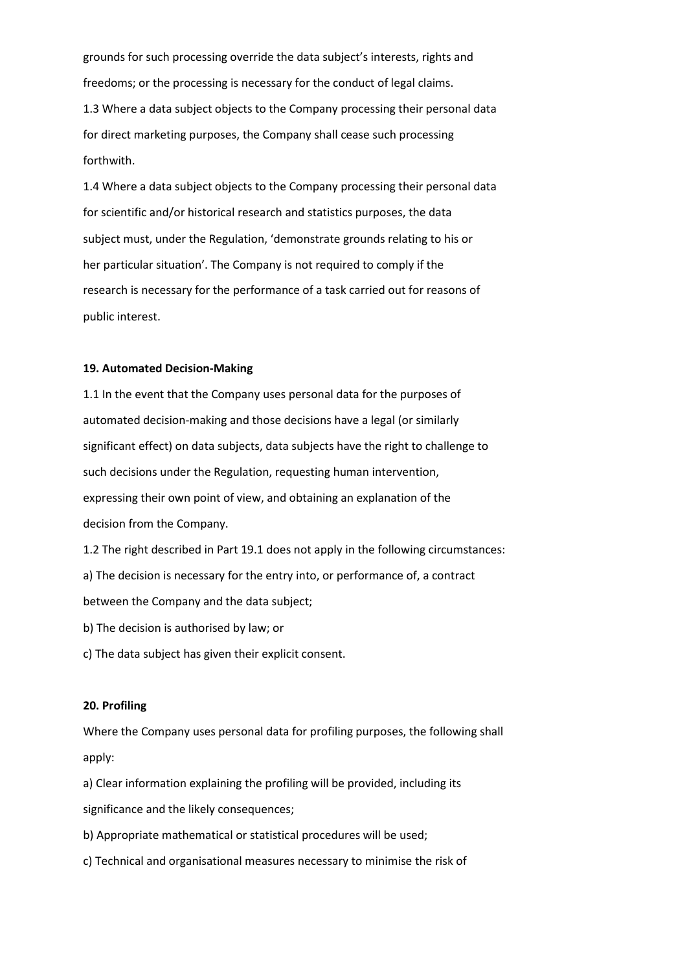grounds for such processing override the data subject's interests, rights and freedoms; or the processing is necessary for the conduct of legal claims. 1.3 Where a data subject objects to the Company processing their personal data for direct marketing purposes, the Company shall cease such processing forthwith.

1.4 Where a data subject objects to the Company processing their personal data for scientific and/or historical research and statistics purposes, the data subject must, under the Regulation, 'demonstrate grounds relating to his or her particular situation'. The Company is not required to comply if the research is necessary for the performance of a task carried out for reasons of public interest.

#### **19. Automated Decision-Making**

1.1 In the event that the Company uses personal data for the purposes of automated decision-making and those decisions have a legal (or similarly significant effect) on data subjects, data subjects have the right to challenge to such decisions under the Regulation, requesting human intervention, expressing their own point of view, and obtaining an explanation of the decision from the Company.

1.2 The right described in Part 19.1 does not apply in the following circumstances: a) The decision is necessary for the entry into, or performance of, a contract between the Company and the data subject;

- b) The decision is authorised by law; or
- c) The data subject has given their explicit consent.

#### **20. Profiling**

Where the Company uses personal data for profiling purposes, the following shall apply:

a) Clear information explaining the profiling will be provided, including its significance and the likely consequences;

- b) Appropriate mathematical or statistical procedures will be used;
- c) Technical and organisational measures necessary to minimise the risk of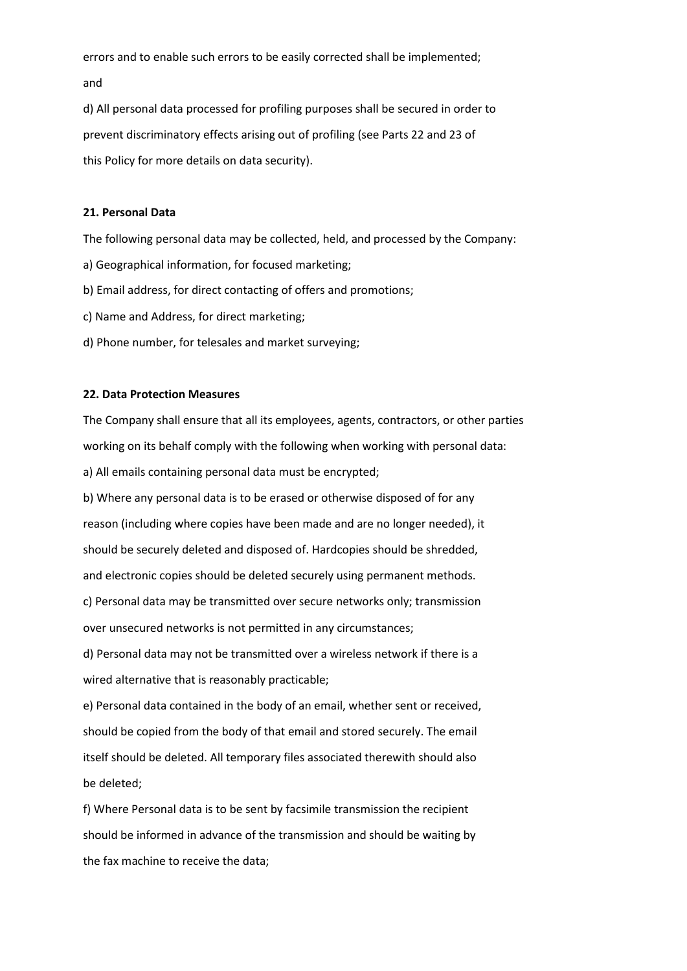errors and to enable such errors to be easily corrected shall be implemented; and

d) All personal data processed for profiling purposes shall be secured in order to prevent discriminatory effects arising out of profiling (see Parts 22 and 23 of this Policy for more details on data security).

# **21. Personal Data**

The following personal data may be collected, held, and processed by the Company:

- a) Geographical information, for focused marketing;
- b) Email address, for direct contacting of offers and promotions;
- c) Name and Address, for direct marketing;
- d) Phone number, for telesales and market surveying;

## **22. Data Protection Measures**

The Company shall ensure that all its employees, agents, contractors, or other parties working on its behalf comply with the following when working with personal data: a) All emails containing personal data must be encrypted;

b) Where any personal data is to be erased or otherwise disposed of for any reason (including where copies have been made and are no longer needed), it should be securely deleted and disposed of. Hardcopies should be shredded, and electronic copies should be deleted securely using permanent methods.

c) Personal data may be transmitted over secure networks only; transmission over unsecured networks is not permitted in any circumstances;

d) Personal data may not be transmitted over a wireless network if there is a wired alternative that is reasonably practicable;

e) Personal data contained in the body of an email, whether sent or received, should be copied from the body of that email and stored securely. The email itself should be deleted. All temporary files associated therewith should also be deleted;

f) Where Personal data is to be sent by facsimile transmission the recipient should be informed in advance of the transmission and should be waiting by the fax machine to receive the data;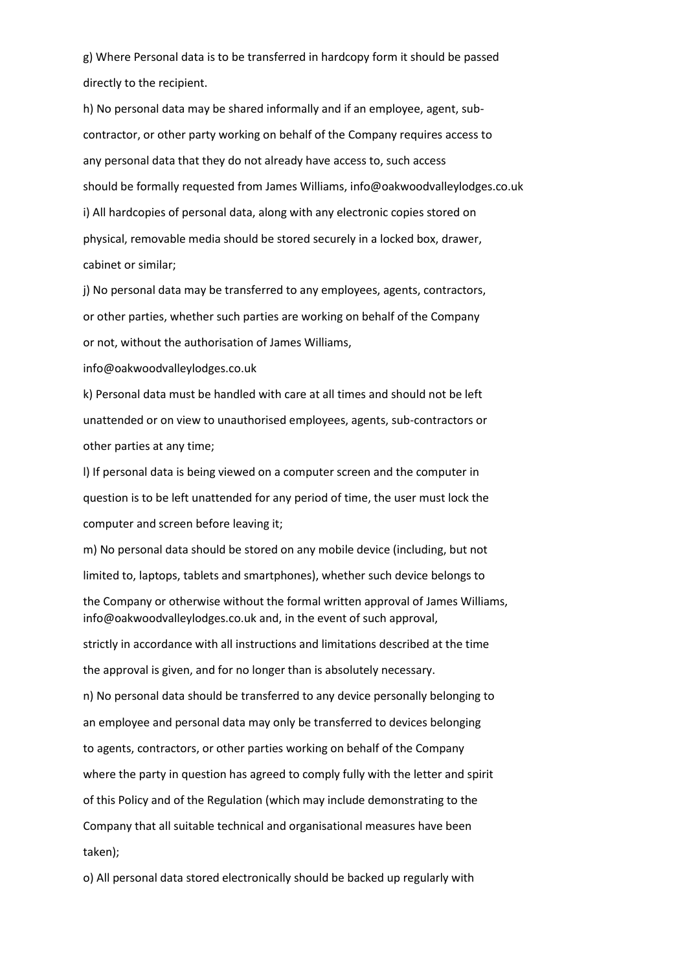g) Where Personal data is to be transferred in hardcopy form it should be passed directly to the recipient.

h) No personal data may be shared informally and if an employee, agent, subcontractor, or other party working on behalf of the Company requires access to any personal data that they do not already have access to, such access should be formally requested from James Williams, info@oakwoodvalleylodges.co.uk i) All hardcopies of personal data, along with any electronic copies stored on physical, removable media should be stored securely in a locked box, drawer, cabinet or similar;

j) No personal data may be transferred to any employees, agents, contractors, or other parties, whether such parties are working on behalf of the Company or not, without the authorisation of James Williams,

info@oakwoodvalleylodges.co.uk

k) Personal data must be handled with care at all times and should not be left unattended or on view to unauthorised employees, agents, sub-contractors or other parties at any time;

l) If personal data is being viewed on a computer screen and the computer in question is to be left unattended for any period of time, the user must lock the computer and screen before leaving it;

m) No personal data should be stored on any mobile device (including, but not limited to, laptops, tablets and smartphones), whether such device belongs to

the Company or otherwise without the formal written approval of James Williams, info@oakwoodvalleylodges.co.uk and, in the event of such approval,

strictly in accordance with all instructions and limitations described at the time the approval is given, and for no longer than is absolutely necessary. n) No personal data should be transferred to any device personally belonging to an employee and personal data may only be transferred to devices belonging to agents, contractors, or other parties working on behalf of the Company where the party in question has agreed to comply fully with the letter and spirit of this Policy and of the Regulation (which may include demonstrating to the Company that all suitable technical and organisational measures have been taken);

o) All personal data stored electronically should be backed up regularly with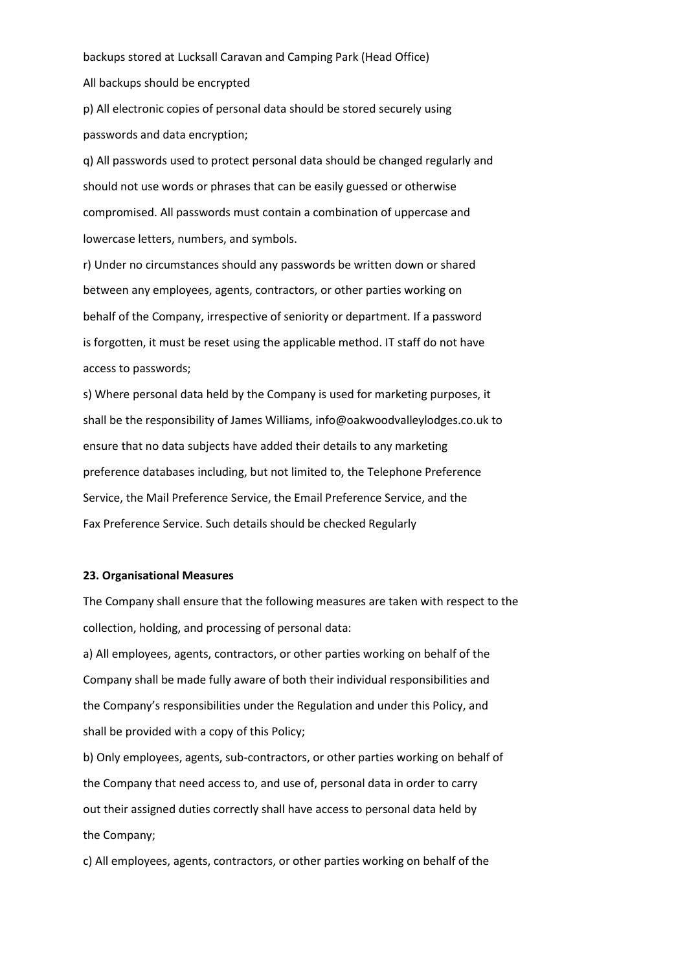backups stored at Lucksall Caravan and Camping Park (Head Office)

All backups should be encrypted

p) All electronic copies of personal data should be stored securely using passwords and data encryption;

q) All passwords used to protect personal data should be changed regularly and should not use words or phrases that can be easily guessed or otherwise compromised. All passwords must contain a combination of uppercase and lowercase letters, numbers, and symbols.

r) Under no circumstances should any passwords be written down or shared between any employees, agents, contractors, or other parties working on behalf of the Company, irrespective of seniority or department. If a password is forgotten, it must be reset using the applicable method. IT staff do not have access to passwords;

s) Where personal data held by the Company is used for marketing purposes, it shall be the responsibility of James Williams, info@oakwoodvalleylodges.co.uk to ensure that no data subjects have added their details to any marketing preference databases including, but not limited to, the Telephone Preference Service, the Mail Preference Service, the Email Preference Service, and the Fax Preference Service. Such details should be checked Regularly

## **23. Organisational Measures**

The Company shall ensure that the following measures are taken with respect to the collection, holding, and processing of personal data:

a) All employees, agents, contractors, or other parties working on behalf of the Company shall be made fully aware of both their individual responsibilities and the Company's responsibilities under the Regulation and under this Policy, and shall be provided with a copy of this Policy;

b) Only employees, agents, sub-contractors, or other parties working on behalf of the Company that need access to, and use of, personal data in order to carry out their assigned duties correctly shall have access to personal data held by the Company;

c) All employees, agents, contractors, or other parties working on behalf of the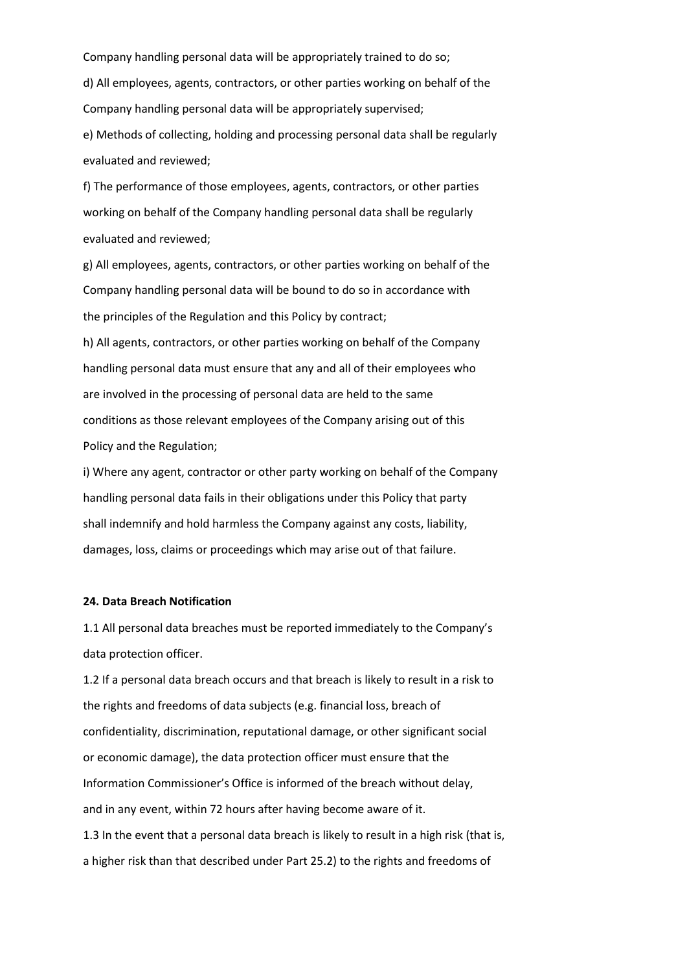Company handling personal data will be appropriately trained to do so; d) All employees, agents, contractors, or other parties working on behalf of the Company handling personal data will be appropriately supervised; e) Methods of collecting, holding and processing personal data shall be regularly

evaluated and reviewed;

f) The performance of those employees, agents, contractors, or other parties working on behalf of the Company handling personal data shall be regularly evaluated and reviewed;

g) All employees, agents, contractors, or other parties working on behalf of the Company handling personal data will be bound to do so in accordance with the principles of the Regulation and this Policy by contract;

h) All agents, contractors, or other parties working on behalf of the Company handling personal data must ensure that any and all of their employees who are involved in the processing of personal data are held to the same conditions as those relevant employees of the Company arising out of this Policy and the Regulation;

i) Where any agent, contractor or other party working on behalf of the Company handling personal data fails in their obligations under this Policy that party shall indemnify and hold harmless the Company against any costs, liability, damages, loss, claims or proceedings which may arise out of that failure.

## **24. Data Breach Notification**

1.1 All personal data breaches must be reported immediately to the Company's data protection officer.

1.2 If a personal data breach occurs and that breach is likely to result in a risk to the rights and freedoms of data subjects (e.g. financial loss, breach of confidentiality, discrimination, reputational damage, or other significant social or economic damage), the data protection officer must ensure that the Information Commissioner's Office is informed of the breach without delay, and in any event, within 72 hours after having become aware of it. 1.3 In the event that a personal data breach is likely to result in a high risk (that is, a higher risk than that described under Part 25.2) to the rights and freedoms of